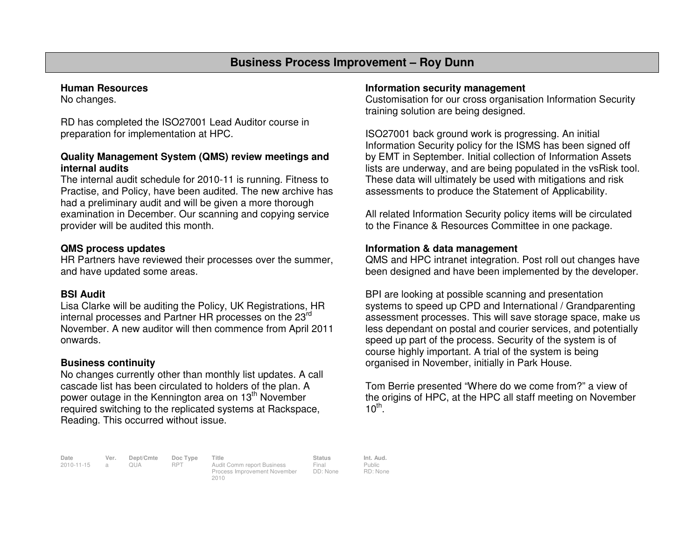# **Business Process Improvement – Roy Dunn**

#### **Human Resources**

No changes.

RD has completed the ISO27001 Lead Auditor course in preparation for implementation at HPC.

### **Quality Management System (QMS) review meetings andinternal audits**

 The internal audit schedule for 2010-11 is running. Fitness to Practise, and Policy, have been audited. The new archive has had a preliminary audit and will be given a more thorough examination in December. Our scanning and copying service provider will be audited this month.

## **QMS process updates**

 HR Partners have reviewed their processes over the summer, and have updated some areas.

#### **BSI Audit**

 Lisa Clarke will be auditing the Policy, UK Registrations, HR internal processes and Partner HR processes on the 23rd November. A new auditor will then commence from April 2011 onwards.

#### **Business continuity**

 No changes currently other than monthly list updates. A call cascade list has been circulated to holders of the plan. A power outage in the Kennington area on 13<sup>th</sup> November required switching to the replicated systems at Rackspace, Reading. This occurred without issue.

#### **Information security management**

 Customisation for our cross organisation Information Security training solution are being designed.

ISO27001 back ground work is progressing. An initial Information Security policy for the ISMS has been signed off by EMT in September. Initial collection of Information Assets lists are underway, and are being populated in the vsRisk tool. These data will ultimately be used with mitigations and risk assessments to produce the Statement of Applicability.

All related Information Security policy items will be circulated to the Finance & Resources Committee in one package.

#### **Information & data management**

 QMS and HPC intranet integration. Post roll out changes have been designed and have been implemented by the developer.

BPI are looking at possible scanning and presentation systems to speed up CPD and International / Grandparenting assessment processes. This will save storage space, make us less dependant on postal and courier services, and potentially speed up part of the process. Security of the system is of course highly important. A trial of the system is being organised in November, initially in Park House.

Tom Berrie presented "Where do we come from?" a view of the origins of HPC, at the HPC all staff meeting on November  $10^{th}$ .

**Date Ver. Dept/Cmte Doc Type Title Status Int. Aud.**2010-11-15 a QUA RPT Audit Comm report Business

2010

Process Improvement November

Final DD: None Public RD: None